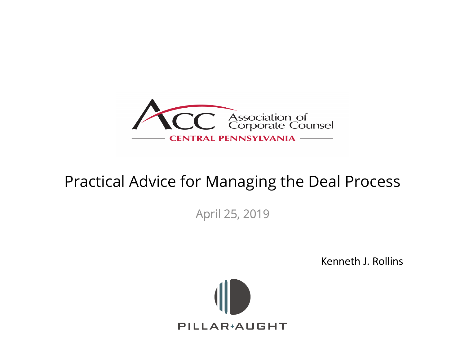

#### Practical Advice for Managing the Deal Process

April 25, 2019

Kenneth J. Rollins

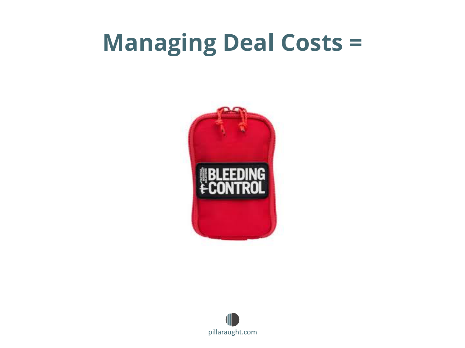### **Managing Deal Costs =**



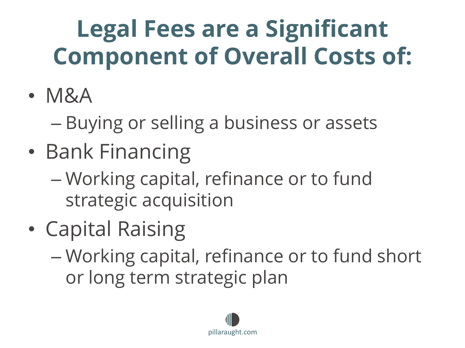## **Legal Fees are a Significant Component of Overall Costs of:**

- M&A
	- Buying or selling a business or assets
- Bank Financing
	- Working capital, refinance or to fund strategic acquisition
- Capital Raising
	- Working capital, refinance or to fund short or long term strategic plan

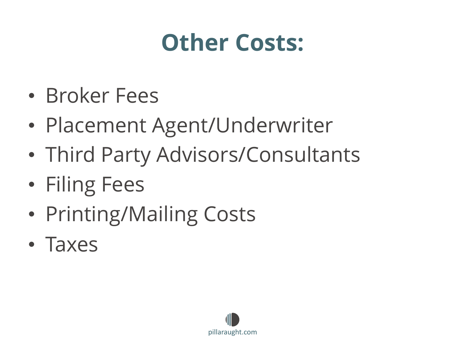### **Other Costs:**

- Broker Fees
- Placement Agent/Underwriter
- Third Party Advisors/Consultants
- Filing Fees
- Printing/Mailing Costs
- Taxes

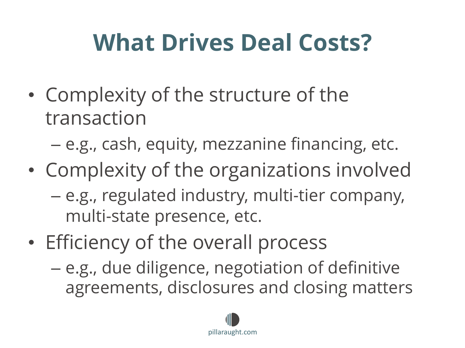# **What Drives Deal Costs?**

• Complexity of the structure of the transaction

– e.g., cash, equity, mezzanine financing, etc.

- Complexity of the organizations involved – e.g., regulated industry, multi-tier company, multi-state presence, etc.
- Efficiency of the overall process
	- e.g., due diligence, negotiation of definitive agreements, disclosures and closing matters

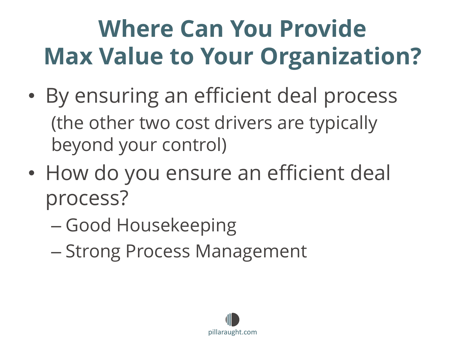# **Where Can You Provide Max Value to Your Organization?**

- By ensuring an efficient deal process (the other two cost drivers are typically beyond your control)
- How do you ensure an efficient deal process?
	- Good Housekeeping
	- Strong Process Management

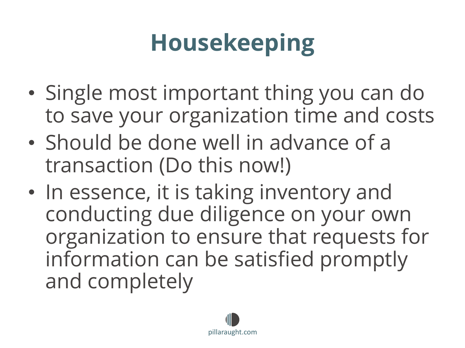# **Housekeeping**

- Single most important thing you can do to save your organization time and costs
- Should be done well in advance of a transaction (Do this now!)
- In essence, it is taking inventory and conducting due diligence on your own organization to ensure that requests for information can be satisfied promptly and completely

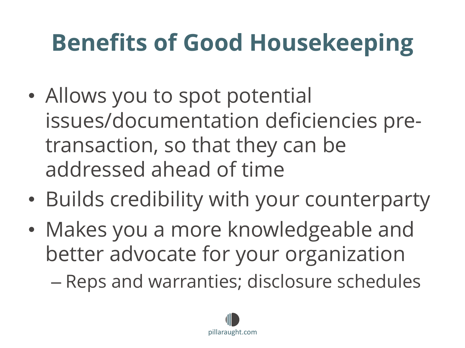# **Benefits of Good Housekeeping**

- Allows you to spot potential issues/documentation deficiencies pretransaction, so that they can be addressed ahead of time
- Builds credibility with your counterparty
- Makes you a more knowledgeable and better advocate for your organization

– Reps and warranties; disclosure schedules

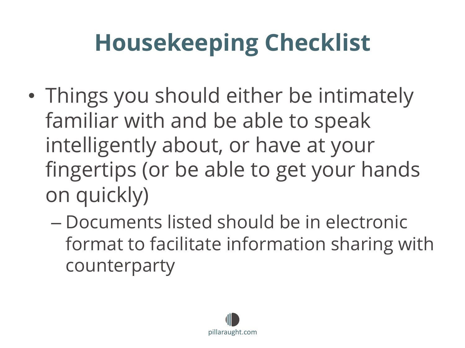# **Housekeeping Checklist**

- Things you should either be intimately familiar with and be able to speak intelligently about, or have at your fingertips (or be able to get your hands on quickly)
	- Documents listed should be in electronic format to facilitate information sharing with counterparty

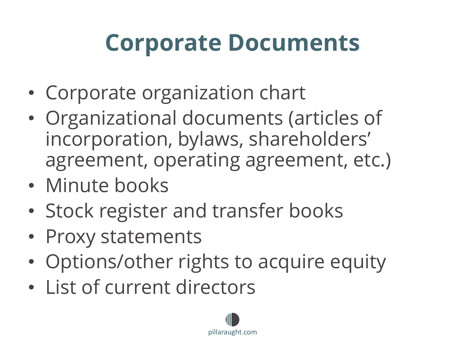### **Corporate Documents**

- Corporate organization chart
- Organizational documents (articles of incorporation, bylaws, shareholders' agreement, operating agreement, etc.)
- Minute books
- Stock register and transfer books
- Proxy statements
- Options/other rights to acquire equity
- List of current directors

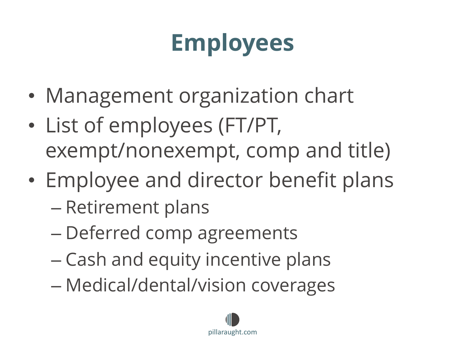# **Employees**

- Management organization chart
- List of employees (FT/PT, exempt/nonexempt, comp and title)
- Employee and director benefit plans
	- Retirement plans
	- Deferred comp agreements
	- Cash and equity incentive plans
	- Medical/dental/vision coverages

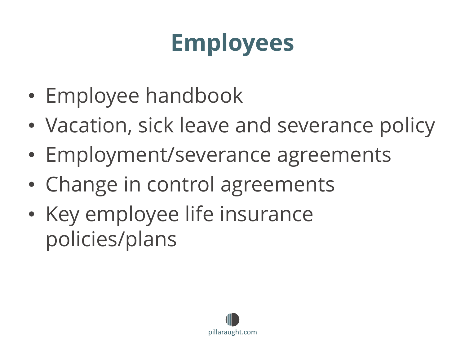# **Employees**

- Employee handbook
- Vacation, sick leave and severance policy
- Employment/severance agreements
- Change in control agreements
- Key employee life insurance policies/plans

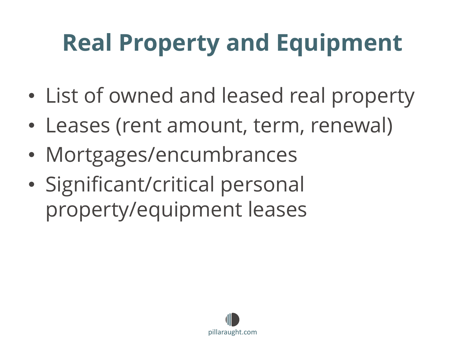# **Real Property and Equipment**

- List of owned and leased real property
- Leases (rent amount, term, renewal)
- Mortgages/encumbrances
- Significant/critical personal property/equipment leases

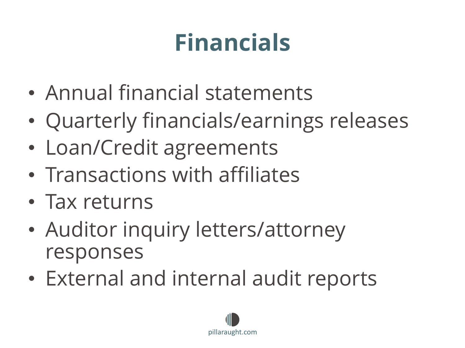# **Financials**

- Annual financial statements
- Quarterly financials/earnings releases
- Loan/Credit agreements
- Transactions with affiliates
- Tax returns
- Auditor inquiry letters/attorney responses
- External and internal audit reports

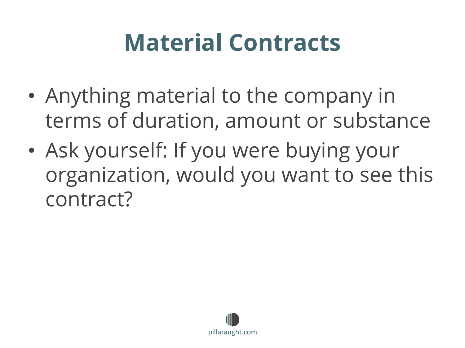### **Material Contracts**

- Anything material to the company in terms of duration, amount or substance
- Ask yourself: If you were buying your organization, would you want to see this contract?

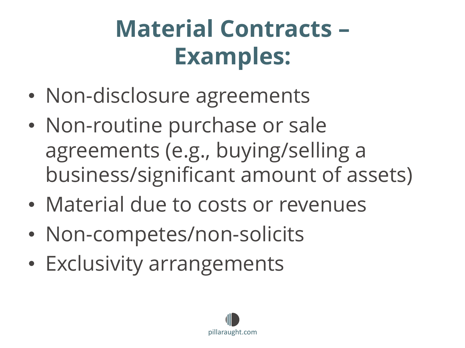# **Material Contracts – Examples:**

- Non-disclosure agreements
- Non-routine purchase or sale agreements (e.g., buying/selling a business/significant amount of assets)
- Material due to costs or revenues
- Non-competes/non-solicits
- Exclusivity arrangements

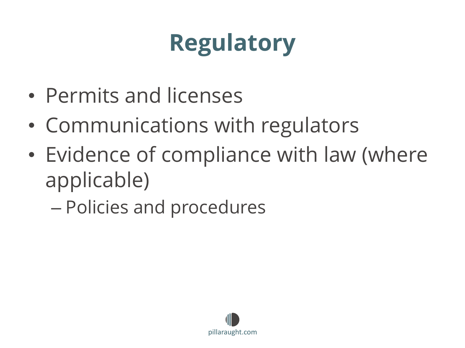# **Regulatory**

- Permits and licenses
- Communications with regulators
- Evidence of compliance with law (where applicable)
	- Policies and procedures

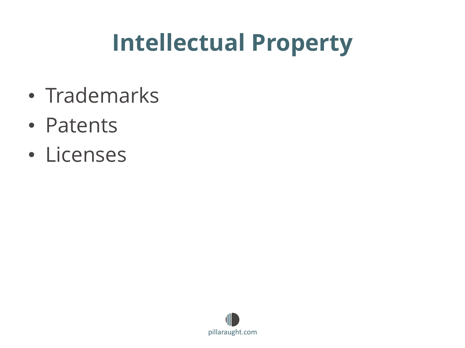### **Intellectual Property**

- Trademarks
- Patents
- Licenses

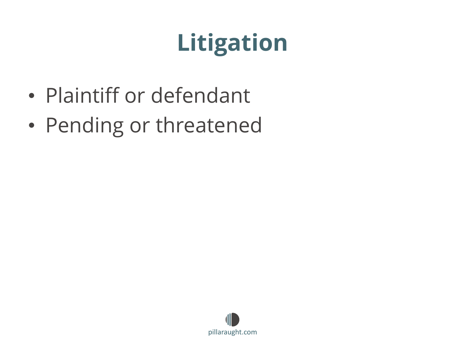# **Litigation**

- Plaintiff or defendant
- Pending or threatened

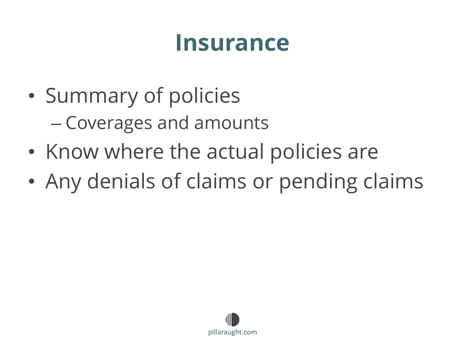#### **Insurance**

- Summary of policies – Coverages and amounts
- Know where the actual policies are
- Any denials of claims or pending claims

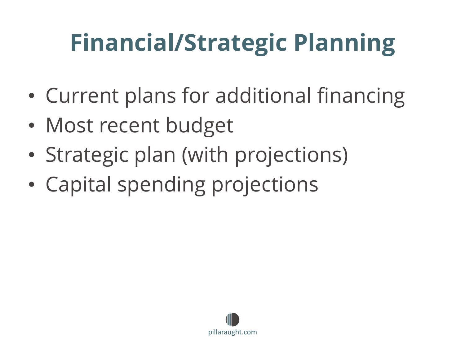# **Financial/Strategic Planning**

- Current plans for additional financing
- Most recent budget
- Strategic plan (with projections)
- Capital spending projections

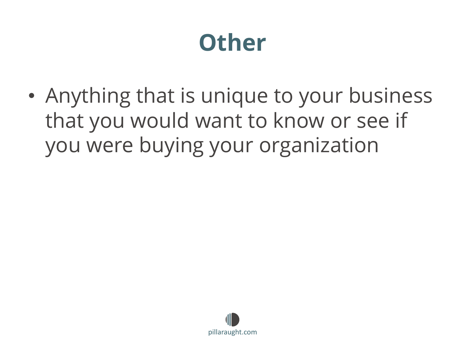### **Other**

• Anything that is unique to your business that you would want to know or see if you were buying your organization

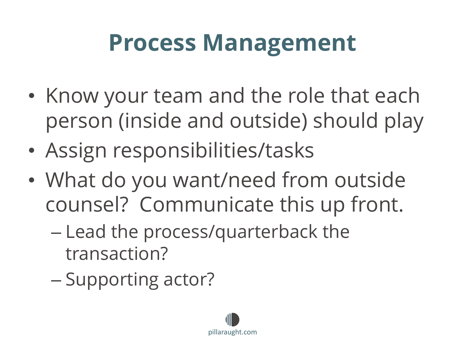### **Process Management**

- Know your team and the role that each person (inside and outside) should play
- Assign responsibilities/tasks
- What do you want/need from outside counsel? Communicate this up front.
	- Lead the process/quarterback the transaction?
	- Supporting actor?

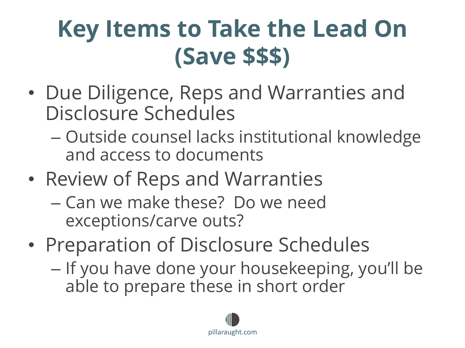### **Key Items to Take the Lead On (Save \$\$\$)**

- Due Diligence, Reps and Warranties and Disclosure Schedules
	- Outside counsel lacks institutional knowledge and access to documents
- Review of Reps and Warranties
	- Can we make these? Do we need exceptions/carve outs?
- Preparation of Disclosure Schedules
	- If you have done your housekeeping, you'll be able to prepare these in short order

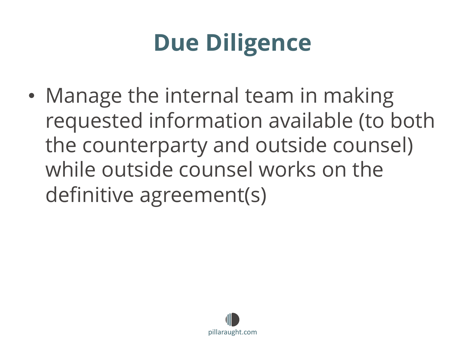# **Due Diligence**

• Manage the internal team in making requested information available (to both the counterparty and outside counsel) while outside counsel works on the definitive agreement(s)

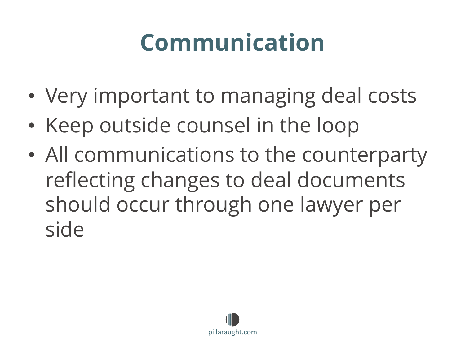### **Communication**

- Very important to managing deal costs
- Keep outside counsel in the loop
- All communications to the counterparty reflecting changes to deal documents should occur through one lawyer per side

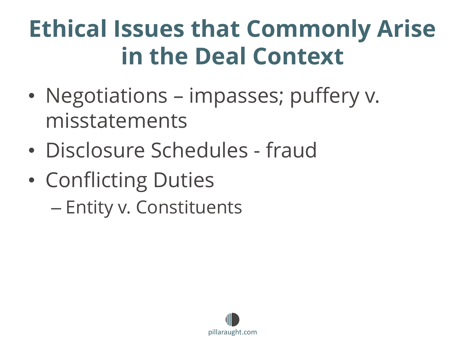### **Ethical Issues that Commonly Arise in the Deal Context**

- Negotiations impasses; puffery v. misstatements
- Disclosure Schedules fraud
- Conflicting Duties – Entity v. Constituents

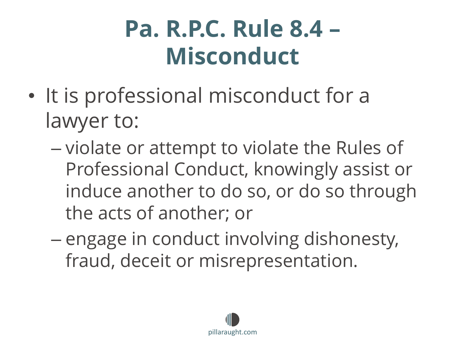### **Pa. R.P.C. Rule 8.4 – Misconduct**

- It is professional misconduct for a lawyer to:
	- violate or attempt to violate the Rules of Professional Conduct, knowingly assist or induce another to do so, or do so through the acts of another; or
	- engage in conduct involving dishonesty, fraud, deceit or misrepresentation.

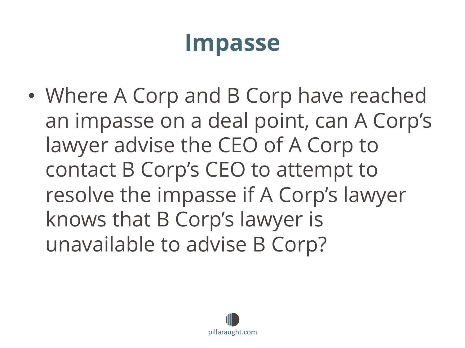### **Impasse**

• Where A Corp and B Corp have reached an impasse on a deal point, can A Corp's lawyer advise the CEO of A Corp to contact B Corp's CEO to attempt to resolve the impasse if A Corp's lawyer knows that B Corp's lawyer is unavailable to advise B Corp?

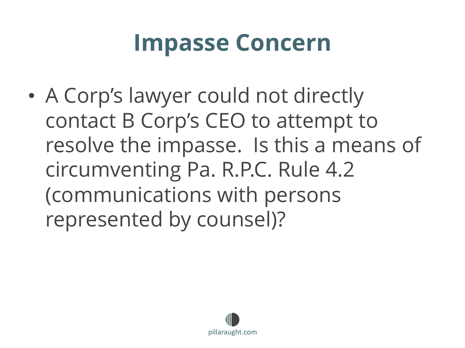### **Impasse Concern**

• A Corp's lawyer could not directly contact B Corp's CEO to attempt to resolve the impasse. Is this a means of circumventing Pa. R.P.C. Rule 4.2 (communications with persons represented by counsel)?

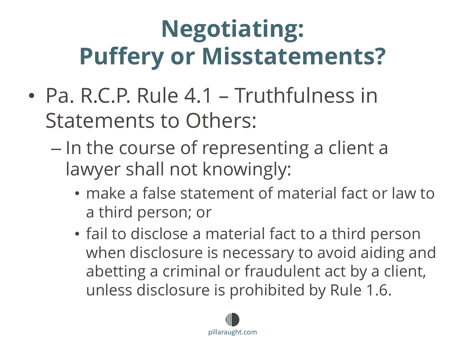# **Negotiating: Puffery or Misstatements?**

- Pa. R.C.P. Rule 4.1 Truthfulness in Statements to Others:
	- In the course of representing a client a lawyer shall not knowingly:
		- make a false statement of material fact or law to a third person; or
		- fail to disclose a material fact to a third person when disclosure is necessary to avoid aiding and abetting a criminal or fraudulent act by a client, unless disclosure is prohibited by Rule 1.6.

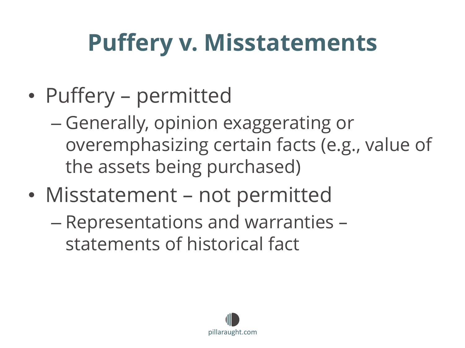# **Puffery v. Misstatements**

- Puffery permitted
	- Generally, opinion exaggerating or overemphasizing certain facts (e.g., value of the assets being purchased)
- Misstatement not permitted
	- Representations and warranties statements of historical fact

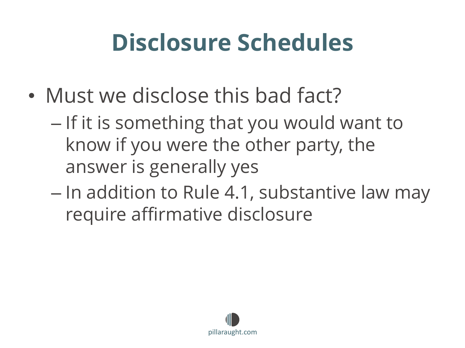## **Disclosure Schedules**

- Must we disclose this bad fact?
	- If it is something that you would want to know if you were the other party, the answer is generally yes
	- In addition to Rule 4.1, substantive law may require affirmative disclosure

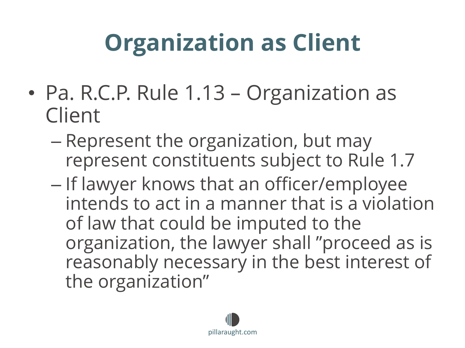# **Organization as Client**

- Pa. R.C.P. Rule 1.13 Organization as Client
	- Represent the organization, but may represent constituents subject to Rule 1.7
	- If lawyer knows that an officer/employee intends to act in a manner that is a violation of law that could be imputed to the organization, the lawyer shall "proceed as is reasonably necessary in the best interest of the organization"

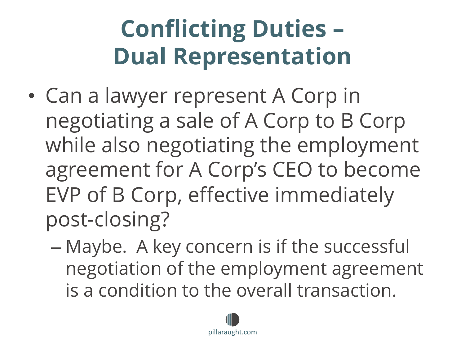# **Conflicting Duties – Dual Representation**

- Can a lawyer represent A Corp in negotiating a sale of A Corp to B Corp while also negotiating the employment agreement for A Corp's CEO to become EVP of B Corp, effective immediately post-closing?
	- Maybe. A key concern is if the successful negotiation of the employment agreement is a condition to the overall transaction.

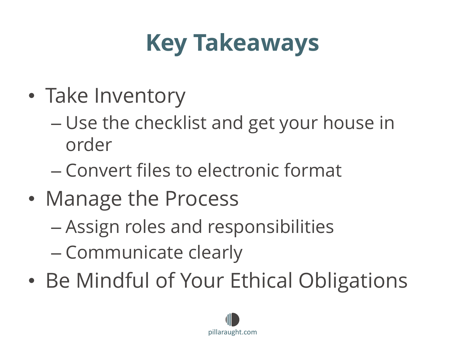# **Key Takeaways**

- Take Inventory
	- Use the checklist and get your house in order
	- Convert files to electronic format
- Manage the Process
	- Assign roles and responsibilities
	- Communicate clearly
- Be Mindful of Your Ethical Obligations